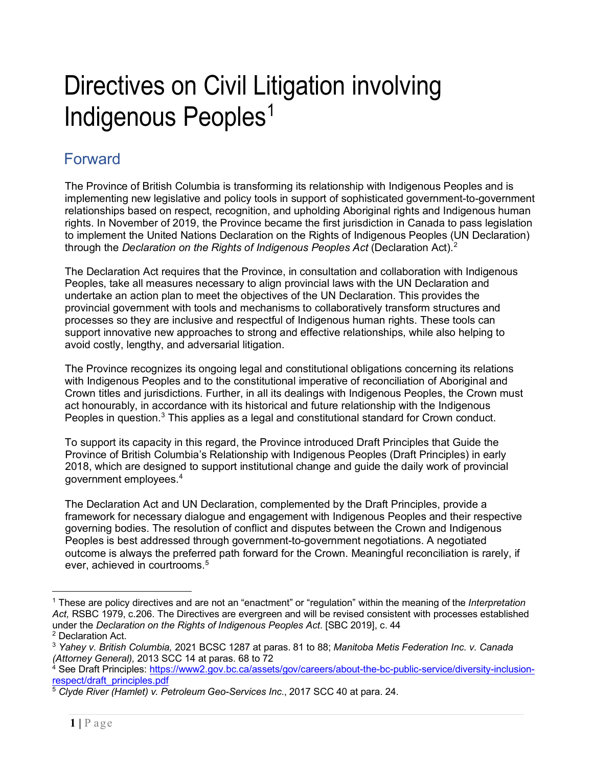# Directives on Civil Litigation involving Indigenous Peoples<sup>[1](#page-0-0)</sup>

# Forward

The Province of British Columbia is transforming its relationship with Indigenous Peoples and is implementing new legislative and policy tools in support of sophisticated government-to-government relationships based on respect, recognition, and upholding Aboriginal rights and Indigenous human rights. In November of 2019, the Province became the first jurisdiction in Canada to pass legislation to implement the United Nations Declaration on the Rights of Indigenous Peoples (UN Declaration) through the *Declaration on the Rights of Indigenous Peoples Act* (Declaration Act). [2](#page-0-1)

The Declaration Act requires that the Province, in consultation and collaboration with Indigenous Peoples, take all measures necessary to align provincial laws with the UN Declaration and undertake an action plan to meet the objectives of the UN Declaration. This provides the provincial government with tools and mechanisms to collaboratively transform structures and processes so they are inclusive and respectful of Indigenous human rights. These tools can support innovative new approaches to strong and effective relationships, while also helping to avoid costly, lengthy, and adversarial litigation.

The Province recognizes its ongoing legal and constitutional obligations concerning its relations with Indigenous Peoples and to the constitutional imperative of reconciliation of Aboriginal and Crown titles and jurisdictions. Further, in all its dealings with Indigenous Peoples, the Crown must act honourably, in accordance with its historical and future relationship with the Indigenous Peoples in question.<sup>[3](#page-0-2)</sup> This applies as a legal and constitutional standard for Crown conduct.

To support its capacity in this regard, the Province introduced Draft Principles that Guide the Province of British Columbia's Relationship with Indigenous Peoples (Draft Principles) in early 2018, which are designed to support institutional change and guide the daily work of provincial government employees.[4](#page-0-3)

The Declaration Act and UN Declaration, complemented by the Draft Principles, provide a framework for necessary dialogue and engagement with Indigenous Peoples and their respective governing bodies. The resolution of conflict and disputes between the Crown and Indigenous Peoples is best addressed through government-to-government negotiations. A negotiated outcome is always the preferred path forward for the Crown. Meaningful reconciliation is rarely, if ever, achieved in courtrooms.<sup>[5](#page-0-4)</sup>

<span id="page-0-0"></span><sup>1</sup> These are policy directives and are not an "enactment" or "regulation" within the meaning of the *Interpretation Act,* RSBC 1979, c.206. The Directives are evergreen and will be revised consistent with processes established under the *Declaration on the Rights of Indigenous Peoples Act*. [SBC 2019], c. 44

<span id="page-0-1"></span><sup>2</sup> Declaration Act.

<span id="page-0-2"></span><sup>3</sup> *Yahey v. British Columbia,* 2021 BCSC 1287 at paras. 81 to 88; *Manitoba Metis Federation Inc. v. Canada (Attorney General),* 2013 SCC 14 at paras. 68 to 72

<span id="page-0-3"></span><sup>&</sup>lt;sup>4</sup> See Draft Principles: [https://www2.gov.bc.ca/assets/gov/careers/about-the-bc-public-service/diversity-inclusion](https://www2.gov.bc.ca/assets/gov/careers/about-the-bc-public-service/diversity-inclusion-respect/draft_principles.pdf)[respect/draft\\_principles.pdf](https://www2.gov.bc.ca/assets/gov/careers/about-the-bc-public-service/diversity-inclusion-respect/draft_principles.pdf)

<span id="page-0-4"></span><sup>5</sup> *Clyde River (Hamlet) v. Petroleum Geo-Services Inc*., 2017 SCC 40 at para. 24.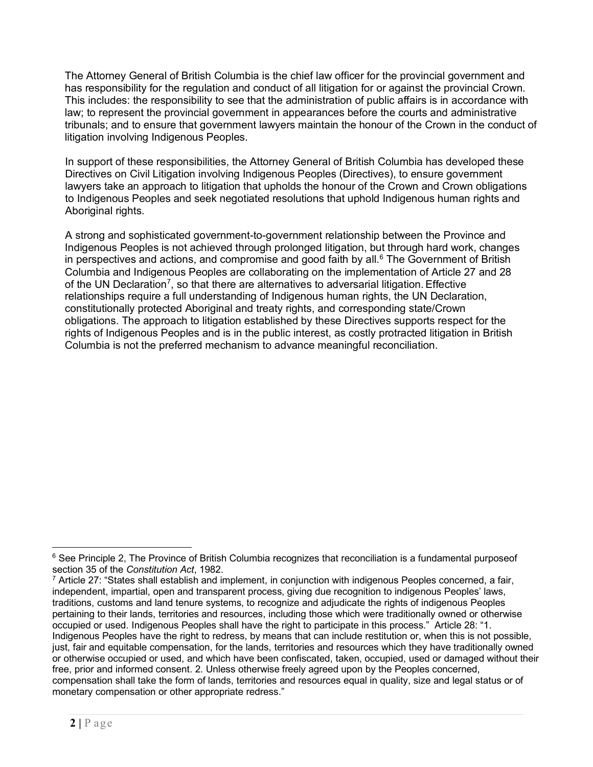<span id="page-1-0"></span>The Attorney General of British Columbia is the chief law officer for the provincial government and has responsibility for the regulation and conduct of all litigation for or against the provincial Crown. This includes: the responsibility to see that the administration of public affairs is in accordance with law; to represent the provincial government in appearances before the courts and administrative tribunals; and to ensure that government lawyers maintain the honour of the Crown in the conduct of litigation involving Indigenous Peoples.

In support of these responsibilities, the Attorney General of British Columbia has developed these Directives on Civil Litigation involving Indigenous Peoples (Directives), to ensure government lawyers take an approach to litigation that upholds the honour of the Crown and Crown obligations to Indigenous Peoples and seek negotiated resolutions that uphold Indigenous human rights and Aboriginal rights.

A strong and sophisticated government-to-government relationship between the Province and Indigenous Peoples is not achieved through prolonged litigation, but through hard work, changes in perspectives and actions, and compromise and good faith by all. $6$  The Government of British Columbia and Indigenous Peoples are collaborating on the implementation of Article 27 and 28 of the UN Declaration<sup>[7](#page-1-2)</sup>, so that there are alternatives to adversarial litigation. Effective relationships require a full understanding of Indigenous human rights, the UN Declaration, constitutionally protected Aboriginal and treaty rights, and corresponding state/Crown obligations. The approach to litigation established by these Directives supports respect for the rights of Indigenous Peoples and is in the public interest, as costly protracted litigation in British Columbia is not the preferred mechanism to advance meaningful reconciliation.

<span id="page-1-1"></span><sup>&</sup>lt;sup>6</sup> See Principle 2, The Province of British Columbia recognizes that reconciliation is a fundamental purposeof section 35 of the *Constitution Act*, 1982.

<span id="page-1-2"></span> $7$  Article 27: "States shall establish and implement, in conjunction with indigenous Peoples concerned, a fair, independent, impartial, open and transparent process, giving due recognition to indigenous Peoples' laws, traditions, customs and land tenure systems, to recognize and adjudicate the rights of indigenous Peoples pertaining to their lands, territories and resources, including those which were traditionally owned or otherwise occupied or used. Indigenous Peoples shall have the right to participate in this process." Article 28: "1. Indigenous Peoples have the right to redress, by means that can include restitution or, when this is not possible, just, fair and equitable compensation, for the lands, territories and resources which they have traditionally owned or otherwise occupied or used, and which have been confiscated, taken, occupied, used or damaged without their free, prior and informed consent. 2. Unless otherwise freely agreed upon by the Peoples concerned, compensation shall take the form of lands, territories and resources equal in quality, size and legal status or of monetary compensation or other appropriate redress."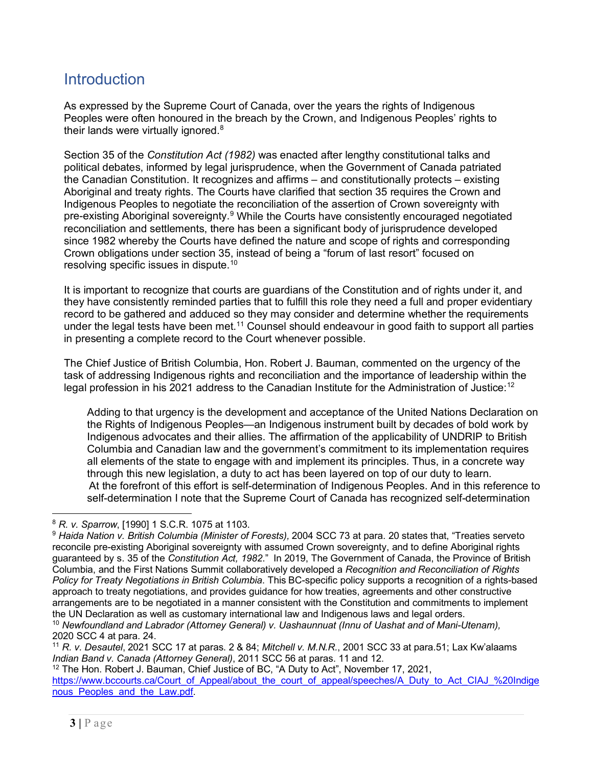## **Introduction**

As expressed by the Supreme Court of Canada, over the years the rights of Indigenous Peoples were often honoured in the breach by the Crown, and Indigenous Peoples' rights to their lands were virtually ignored. $8$ 

Section 35 of the *Constitution Act (1982)* was enacted after lengthy constitutional talks and political debates, informed by legal jurisprudence, when the Government of Canada patriated the Canadian Constitution. It recognizes and affirms – and constitutionally protects – existing Aboriginal and treaty rights. The Courts have clarified that section 35 requires the Crown and Indigenous Peoples to negotiate the reconciliation of the assertion of Crown sovereignty with pre-existing Aboriginal sovereignty.<sup>9</sup> While the Courts have consistently encouraged negotiated reconciliation and settlements, there has been a significant body of jurisprudence developed since 1982 whereby the Courts have defined the nature and scope of rights and corresponding Crown obligations under section 35, instead of being a "forum of last resort" focused on resolving specific issues in dispute.<sup>[10](#page-2-3)</sup>

It is important to recognize that courts are guardians of the Constitution and of rights under it, and they have consistently reminded parties that to fulfill this role they need a full and proper evidentiary record to be gathered and adduced so they may consider and determine whether the requirements under the legal tests have been met.<sup>11</sup> Counsel should endeavour in good faith to support all parties in presenting a complete record to the Court whenever possible.

The Chief Justice of British Columbia, Hon. Robert J. Bauman, commented on the urgency of the task of addressing Indigenous rights and reconciliation and the importance of leadership within the legal profession in his 2021 address to the Canadian Institute for the Administration of Justice: $^{\rm 12}$  $^{\rm 12}$  $^{\rm 12}$ 

<span id="page-2-0"></span>Adding to that urgency is the development and acceptance of the United Nations Declaration on the Rights of Indigenous Peoples—an Indigenous instrument built by decades of bold work by Indigenous advocates and their allies. The affirmation of the applicability of UNDRIP to British Columbia and Canadian law and the government's commitment to its implementation requires all elements of the state to engage with and implement its principles. Thus, in a concrete way through this new legislation, a duty to act has been layered on top of our duty to learn. At the forefront of this effort is self-determination of Indigenous Peoples. And in this reference to self-determination I note that the Supreme Court of Canada has recognized self-determination

<span id="page-2-4"></span><sup>11</sup> *R. v. Desautel*, 2021 SCC 17 at paras. 2 & 84; *Mitchell v. M.N.R.*, 2001 SCC 33 at para.51; Lax Kw'alaams *Indian Band v. Canada (Attorney General)*, 2011 SCC 56 at paras. 11 and 12.

<span id="page-2-5"></span> $12$  The Hon. Robert J. Bauman, Chief Justice of BC, "A Duty to Act", November 17, 2021, [https://www.bccourts.ca/Court\\_of\\_Appeal/about\\_the\\_court\\_of\\_appeal/speeches/A\\_Duty\\_to\\_Act\\_CIAJ\\_%20Indige](https://www.bccourts.ca/Court_of_Appeal/about_the_court_of_appeal/speeches/A_Duty_to_Act_CIAJ_%20Indigenous_Peoples_and_the_Law.pdf) nous Peoples and the Law.pdf

<span id="page-2-1"></span><sup>8</sup> *R. v. Sparrow*, [1990] 1 S.C.R. 1075 at 1103.

<span id="page-2-2"></span><sup>9</sup> *Haida Nation v. British Columbia (Minister of Forests),* 2004 SCC 73 at para. 20 states that, "Treaties serveto reconcile pre-existing Aboriginal sovereignty with assumed Crown sovereignty, and to define Aboriginal rights guaranteed by s. 35 of the *Constitution Act, 1982*." In 2019, The Government of Canada, the Province of British Columbia, and the First Nations Summit collaboratively developed a *Recognition and Reconciliation of Rights Policy for Treaty Negotiations in British Columbia*. This BC-specific policy supports a recognition of a rights-based approach to treaty negotiations, and provides guidance for how treaties, agreements and other constructive arrangements are to be negotiated in a manner consistent with the Constitution and commitments to implement the UN Declaration as well as customary international law and Indigenous laws and legal orders.

<span id="page-2-3"></span><sup>10</sup> *Newfoundland and Labrador (Attorney General) v. Uashaunnuat (Innu of Uashat and of Mani-Utenam),* 2020 SCC 4 at para. 24.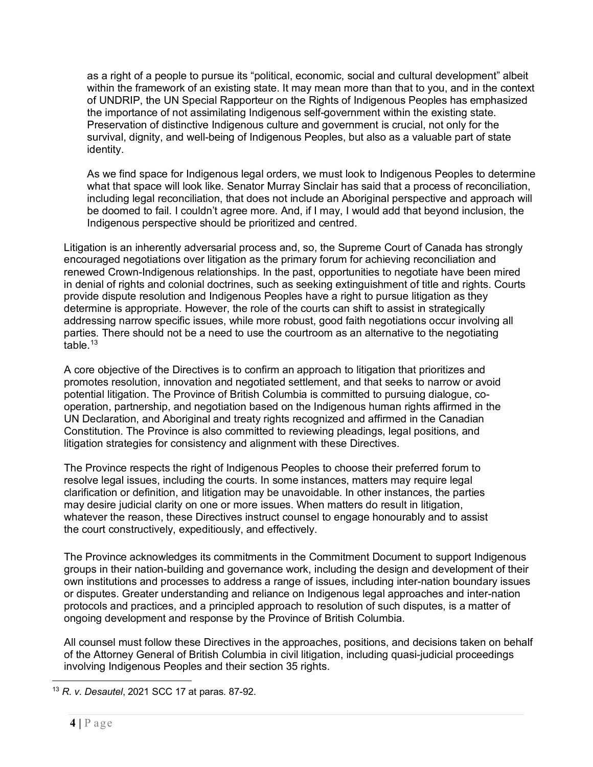as a right of a people to pursue its "political, economic, social and cultural development" albeit within the framework of an existing state. It may mean more than that to you, and in the context of UNDRIP, the UN Special Rapporteur on the Rights of Indigenous Peoples has emphasized the importance of not assimilating Indigenous self-government within the existing state. Preservation of distinctive Indigenous culture and government is crucial, not only for the survival, dignity, and well-being of Indigenous Peoples, but also as a valuable part of state identity.

As we find space for Indigenous legal orders, we must look to Indigenous Peoples to determine what that space will look like. Senator Murray Sinclair has said that a process of reconciliation, including legal reconciliation, that does not include an Aboriginal perspective and approach will be doomed to fail. I couldn't agree more. And, if I may, I would add that beyond inclusion, the Indigenous perspective should be prioritized and centred.

Litigation is an inherently adversarial process and, so, the Supreme Court of Canada has strongly encouraged negotiations over litigation as the primary forum for achieving reconciliation and renewed Crown-Indigenous relationships. In the past, opportunities to negotiate have been mired in denial of rights and colonial doctrines, such as seeking extinguishment of title and rights. Courts provide dispute resolution and Indigenous Peoples have a right to pursue litigation as they determine is appropriate. However, the role of the courts can shift to assist in strategically addressing narrow specific issues, while more robust, good faith negotiations occur involving all parties. There should not be a need to use the courtroom as an alternative to the negotiating table. $13$ 

A core objective of the Directives is to confirm an approach to litigation that prioritizes and promotes resolution, innovation and negotiated settlement, and that seeks to narrow or avoid potential litigation. The Province of British Columbia is committed to pursuing dialogue, cooperation, partnership, and negotiation based on the Indigenous human rights affirmed in the UN Declaration, and Aboriginal and treaty rights recognized and affirmed in the Canadian Constitution. The Province is also committed to reviewing pleadings, legal positions, and litigation strategies for consistency and alignment with these Directives.

The Province respects the right of Indigenous Peoples to choose their preferred forum to resolve legal issues, including the courts. In some instances, matters may require legal clarification or definition, and litigation may be unavoidable. In other instances, the parties may desire judicial clarity on one or more issues. When matters do result in litigation, whatever the reason, these Directives instruct counsel to engage honourably and to assist the court constructively, expeditiously, and effectively.

The Province acknowledges its commitments in the Commitment Document to support Indigenous groups in their nation-building and governance work, including the design and development of their own institutions and processes to address a range of issues, including inter-nation boundary issues or disputes. Greater understanding and reliance on Indigenous legal approaches and inter-nation protocols and practices, and a principled approach to resolution of such disputes, is a matter of ongoing development and response by the Province of British Columbia.

All counsel must follow these Directives in the approaches, positions, and decisions taken on behalf of the Attorney General of British Columbia in civil litigation, including quasi-judicial proceedings involving Indigenous Peoples and their section 35 rights.

<span id="page-3-0"></span><sup>13</sup> *R. v. Desautel*, 2021 SCC 17 at paras. 87-92.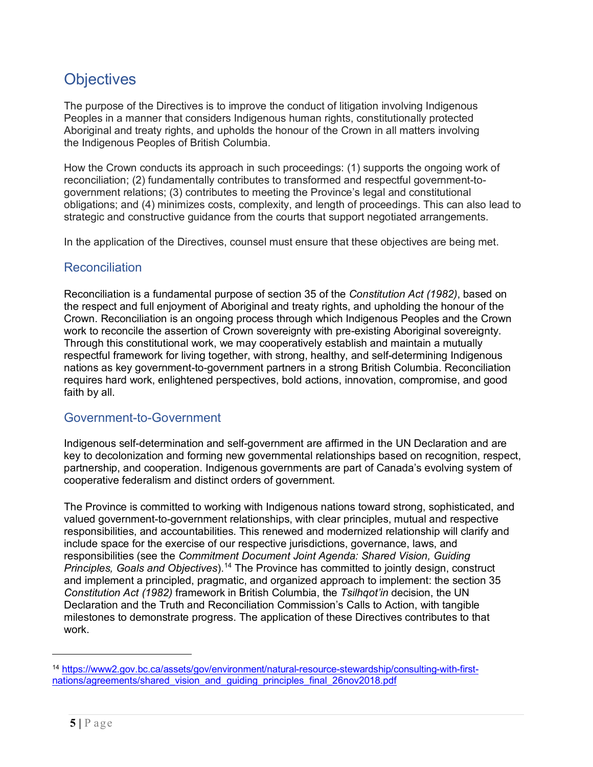# **Objectives**

The purpose of the Directives is to improve the conduct of litigation involving Indigenous Peoples in a manner that considers Indigenous human rights, constitutionally protected Aboriginal and treaty rights, and upholds the honour of the Crown in all matters involving the Indigenous Peoples of British Columbia.

How the Crown conducts its approach in such proceedings: (1) supports the ongoing work of reconciliation; (2) fundamentally contributes to transformed and respectful government-togovernment relations; (3) contributes to meeting the Province's legal and constitutional obligations; and (4) minimizes costs, complexity, and length of proceedings. This can also lead to strategic and constructive guidance from the courts that support negotiated arrangements.

In the application of the Directives, counsel must ensure that these objectives are being met.

## **Reconciliation**

Reconciliation is a fundamental purpose of section 35 of the *Constitution Act (1982)*, based on the respect and full enjoyment of Aboriginal and treaty rights, and upholding the honour of the Crown. Reconciliation is an ongoing process through which Indigenous Peoples and the Crown work to reconcile the assertion of Crown sovereignty with pre-existing Aboriginal sovereignty. Through this constitutional work, we may cooperatively establish and maintain a mutually respectful framework for living together, with strong, healthy, and self-determining Indigenous nations as key government-to-government partners in a strong British Columbia. Reconciliation requires hard work, enlightened perspectives, bold actions, innovation, compromise, and good faith by all.

#### Government-to-Government

Indigenous self-determination and self-government are affirmed in the UN Declaration and are key to decolonization and forming new governmental relationships based on recognition, respect, partnership, and cooperation. Indigenous governments are part of Canada's evolving system of cooperative federalism and distinct orders of government.

The Province is committed to working with Indigenous nations toward strong, sophisticated, and valued government-to-government relationships, with clear principles, mutual and respective responsibilities, and accountabilities. This renewed and modernized relationship will clarify and include space for the exercise of our respective jurisdictions, governance, laws, and responsibilities (see the *Commitment Document Joint Agenda: Shared Vision, Guiding Principles, Goals and Objectives*).[14](#page-4-0) The Province has committed to jointly design, construct and implement a principled, pragmatic, and organized approach to implement: the section 35 *Constitution Act (1982)* framework in British Columbia, the *Tsilhqot'in* decision, the UN Declaration and the Truth and Reconciliation Commission's Calls to Action, with tangible milestones to demonstrate progress. The application of these Directives contributes to that work.

<span id="page-4-0"></span><sup>14</sup> [https://www2.gov.bc.ca/assets/gov/environment/natural-resource-stewardship/consulting-with-first](https://www2.gov.bc.ca/assets/gov/environment/natural-resource-stewardship/consulting-with-first-nations/agreements/shared_vision_and_guiding_principles_final_26nov2018.pdf)[nations/agreements/shared\\_vision\\_and\\_guiding\\_principles\\_final\\_26nov2018.pdf](https://www2.gov.bc.ca/assets/gov/environment/natural-resource-stewardship/consulting-with-first-nations/agreements/shared_vision_and_guiding_principles_final_26nov2018.pdf)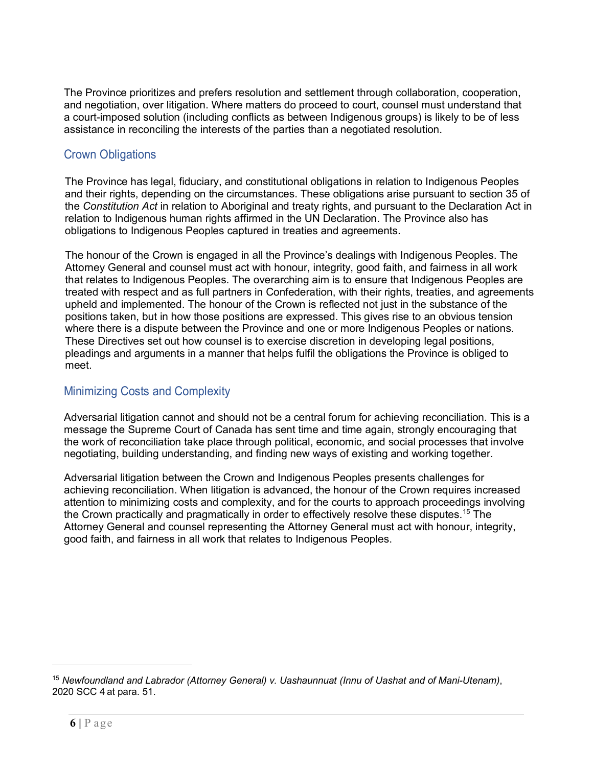The Province prioritizes and prefers resolution and settlement through collaboration, cooperation, and negotiation, over litigation. Where matters do proceed to court, counsel must understand that a court-imposed solution (including conflicts as between Indigenous groups) is likely to be of less assistance in reconciling the interests of the parties than a negotiated resolution.

### Crown Obligations

The Province has legal, fiduciary, and constitutional obligations in relation to Indigenous Peoples and their rights, depending on the circumstances. These obligations arise pursuant to section 35 of the *Constitution Act* in relation to Aboriginal and treaty rights, and pursuant to the Declaration Act in relation to Indigenous human rights affirmed in the UN Declaration. The Province also has obligations to Indigenous Peoples captured in treaties and agreements.

The honour of the Crown is engaged in all the Province's dealings with Indigenous Peoples. The Attorney General and counsel must act with honour, integrity, good faith, and fairness in all work that relates to Indigenous Peoples. The overarching aim is to ensure that Indigenous Peoples are treated with respect and as full partners in Confederation, with their rights, treaties, and agreements upheld and implemented. The honour of the Crown is reflected not just in the substance of the positions taken, but in how those positions are expressed. This gives rise to an obvious tension where there is a dispute between the Province and one or more Indigenous Peoples or nations. These Directives set out how counsel is to exercise discretion in developing legal positions, pleadings and arguments in a manner that helps fulfil the obligations the Province is obliged to meet.

## Minimizing Costs and Complexity

Adversarial litigation cannot and should not be a central forum for achieving reconciliation. This is a message the Supreme Court of Canada has sent time and time again, strongly encouraging that the work of reconciliation take place through political, economic, and social processes that involve negotiating, building understanding, and finding new ways of existing and working together.

Adversarial litigation between the Crown and Indigenous Peoples presents challenges for achieving reconciliation. When litigation is advanced, the honour of the Crown requires increased attention to minimizing costs and complexity, and for the courts to approach proceedings involving the Crown practically and pragmatically in order to effectively resolve these disputes.<sup>[15](#page-5-0)</sup> The Attorney General and counsel representing the Attorney General must act with honour, integrity, good faith, and fairness in all work that relates to Indigenous Peoples.

<span id="page-5-0"></span><sup>15</sup> *Newfoundland and Labrador (Attorney General) v. Uashaunnuat (Innu of Uashat and of Mani-Utenam)*, 2020 SCC 4 at para. 51.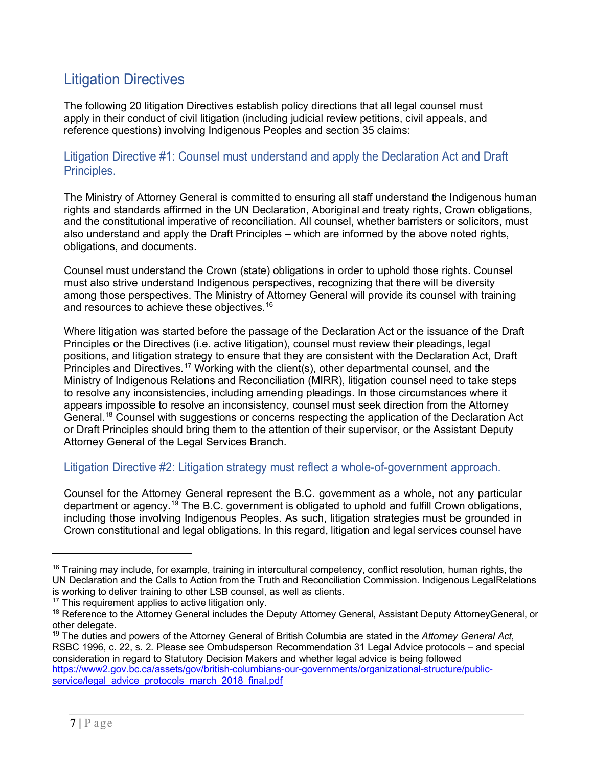# Litigation Directives

The following 20 litigation Directives establish policy directions that all legal counsel must apply in their conduct of civil litigation (including judicial review petitions, civil appeals, and reference questions) involving Indigenous Peoples and section 35 claims:

Litigation Directive #1: Counsel must understand and apply the Declaration Act and Draft Principles.

The Ministry of Attorney General is committed to ensuring all staff understand the Indigenous human rights and standards affirmed in the UN Declaration, Aboriginal and treaty rights, Crown obligations, and the constitutional imperative of reconciliation. All counsel, whether barristers or solicitors, must also understand and apply the Draft Principles – which are informed by the above noted rights, obligations, and documents.

Counsel must understand the Crown (state) obligations in order to uphold those rights. Counsel must also strive understand Indigenous perspectives, recognizing that there will be diversity among those perspectives. The Ministry of Attorney General will provide its counsel with training and resources to achieve these objectives.<sup>16</sup>

Where litigation was started before the passage of the Declaration Act or the issuance of the Draft Principles or the Directives (i.e. active litigation), counsel must review their pleadings, legal positions, and litigation strategy to ensure that they are consistent with the Declaration Act, Draft Principles and Directives.<sup>[17](#page-6-1)</sup> Working with the client(s), other departmental counsel, and the Ministry of Indigenous Relations and Reconciliation (MIRR), litigation counsel need to take steps to resolve any inconsistencies, including amending pleadings. In those circumstances where it appears impossible to resolve an inconsistency, counsel must seek direction from the Attorney Genera[l.](#page-7-0) [18](#page-6-2) Counsel with suggestions or concerns respecting the application of the Declaration Act or Draft Principles should bring them to the attention of their supervisor, or the Assistant Deputy Attorney General of the Legal Services Branch.

Litigation Directive #2: Litigation strategy must reflect a whole-of-government approach.

Counsel for the Attorney General represent the B.C. government as a whole, not any particular department or agenc[y.](#page-7-0)<sup>[19](#page-6-3)</sup> The B.C. government is obligated to uphold and fulfill Crown obligations, including those involving Indigenous Peoples. As such, litigation strategies must be grounded in Crown constitutional and legal obligations. In this regard, litigation and legal services counsel have

<span id="page-6-0"></span> $16$  Training may include, for example, training in intercultural competency, conflict resolution, human rights, the UN Declaration and the Calls to Action from the Truth and Reconciliation Commission. Indigenous LegalRelations is working to deliver training to other LSB counsel, as well as clients.

<span id="page-6-1"></span><sup>&</sup>lt;sup>17</sup> This requirement applies to active litigation only.

<span id="page-6-2"></span><sup>&</sup>lt;sup>18</sup> Reference to the Attorney General includes the Deputy Attorney General, Assistant Deputy AttorneyGeneral, or other delegate.

<span id="page-6-3"></span><sup>19</sup> The duties and powers of the Attorney General of British Columbia are stated in the *Attorney General Act*, RSBC 1996, c. 22, s. 2. Please see Ombudsperson Recommendation 31 Legal Advice protocols – and special consideration in regard to Statutory Decision Makers and whether legal advice is being followed [https://www2.gov.bc.ca/assets/gov/british-columbians-our-governments/organizational-structure/public](https://www2.gov.bc.ca/assets/gov/british-columbians-our-governments/organizational-structure/public-service/legal_advice_protocols_march_2018_final.pdf)[service/legal\\_advice\\_protocols\\_march\\_2018\\_final.pdf](https://www2.gov.bc.ca/assets/gov/british-columbians-our-governments/organizational-structure/public-service/legal_advice_protocols_march_2018_final.pdf)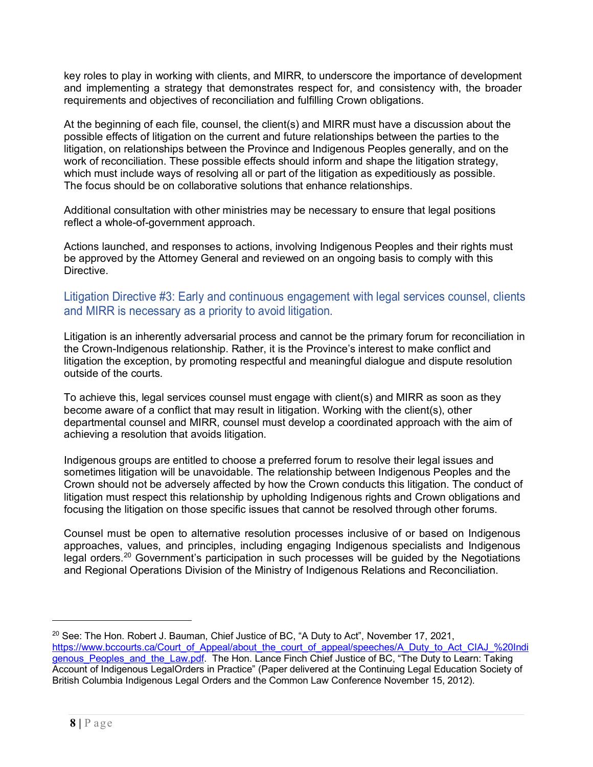key roles to play in working with clients, and MIRR, to underscore the importance of development and implementing a strategy that demonstrates respect for, and consistency with, the broader requirements and objectives of reconciliation and fulfilling Crown obligations.

At the beginning of each file, counsel, the client(s) and MIRR must have a discussion about the possible effects of litigation on the current and future relationships between the parties to the litigation, on relationships between the Province and Indigenous Peoples generally, and on the work of reconciliation. These possible effects should inform and shape the litigation strategy, which must include ways of resolving all or part of the litigation as expeditiously as possible. The focus should be on collaborative solutions that enhance relationships.

Additional consultation with other ministries may be necessary to ensure that legal positions reflect a whole-of-government approach.

<span id="page-7-0"></span>Actions launched, and responses to actions, involving Indigenous Peoples and their rights must be approved by the Attorney General and reviewed on an ongoing basis to comply with this Directive.

#### Litigation Directive #3: Early and continuous engagement with legal services counsel, clients and MIRR is necessary as a priority to avoid litigation.

Litigation is an inherently adversarial process and cannot be the primary forum for reconciliation in the Crown-Indigenous relationship. Rather, it is the Province's interest to make conflict and litigation the exception, by promoting respectful and meaningful dialogue and dispute resolution outside of the courts.

To achieve this, legal services counsel must engage with client(s) and MIRR as soon as they become aware of a conflict that may result in litigation. Working with the client(s), other departmental counsel and MIRR, counsel must develop a coordinated approach with the aim of achieving a resolution that avoids litigation.

Indigenous groups are entitled to choose a preferred forum to resolve their legal issues and sometimes litigation will be unavoidable. The relationship between Indigenous Peoples and the Crown should not be adversely affected by how the Crown conducts this litigation. The conduct of litigation must respect this relationship by upholding Indigenous rights and Crown obligations and focusing the litigation on those specific issues that cannot be resolved through other forums.

Counsel must be open to alternative resolution processes inclusive of or based on Indigenous approaches, values, and principles, including engaging Indigenous specialists and Indigenous legal orders.<sup>[20](#page-7-1)</sup> Government's participation in such processes will be guided by the Negotiations and Regional Operations Division of the Ministry of Indigenous Relations and Reconciliation.

<span id="page-7-1"></span> $20$  See: The Hon. Robert J. Bauman, Chief Justice of BC, "A Duty to Act", November 17, 2021, [https://www.bccourts.ca/Court\\_of\\_Appeal/about\\_the\\_court\\_of\\_appeal/speeches/A\\_Duty\\_to\\_Act\\_CIAJ\\_%20Indi](https://www.bccourts.ca/Court_of_Appeal/about_the_court_of_appeal/speeches/A_Duty_to_Act_CIAJ_%20Indigenous_Peoples_and_the_Law.pdf) genous Peoples and the Law.pdf. The Hon. Lance Finch Chief Justice of BC, "The Duty to Learn: Taking Account of Indigenous LegalOrders in Practice" (Paper delivered at the Continuing Legal Education Society of British Columbia Indigenous Legal Orders and the Common Law Conference November 15, 2012).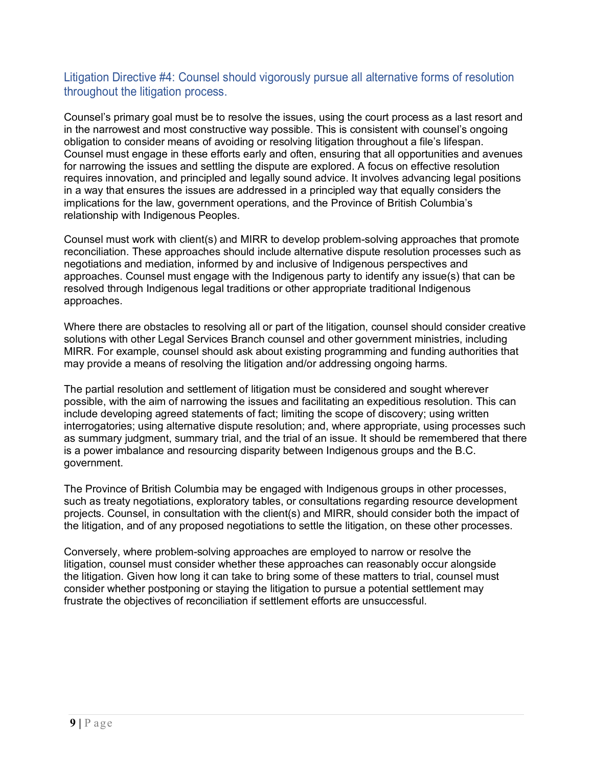#### Litigation Directive #4: Counsel should vigorously pursue all alternative forms of resolution throughout the litigation process.

Counsel's primary goal must be to resolve the issues, using the court process as a last resort and in the narrowest and most constructive way possible. This is consistent with counsel's ongoing obligation to consider means of avoiding or resolving litigation throughout a file's lifespan. Counsel must engage in these efforts early and often, ensuring that all opportunities and avenues for narrowing the issues and settling the dispute are explored. A focus on effective resolution requires innovation, and principled and legally sound advice. It involves advancing legal positions in a way that ensures the issues are addressed in a principled way that equally considers the implications for the law, government operations, and the Province of British Columbia's relationship with Indigenous Peoples.

Counsel must work with client(s) and MIRR to develop problem-solving approaches that promote reconciliation. These approaches should include alternative dispute resolution processes such as negotiations and mediation, informed by and inclusive of Indigenous perspectives and approaches. Counsel must engage with the Indigenous party to identify any issue(s) that can be resolved through Indigenous legal traditions or other appropriate traditional Indigenous approaches.

Where there are obstacles to resolving all or part of the litigation, counsel should consider creative solutions with other Legal Services Branch counsel and other government ministries, including MIRR. For example, counsel should ask about existing programming and funding authorities that may provide a means of resolving the litigation and/or addressing ongoing harms.

The partial resolution and settlement of litigation must be considered and sought wherever possible, with the aim of narrowing the issues and facilitating an expeditious resolution. This can include developing agreed statements of fact; limiting the scope of discovery; using written interrogatories; using alternative dispute resolution; and, where appropriate, using processes such as summary judgment, summary trial, and the trial of an issue. It should be remembered that there is a power imbalance and resourcing disparity between Indigenous groups and the B.C. government.

The Province of British Columbia may be engaged with Indigenous groups in other processes, such as treaty negotiations, exploratory tables, or consultations regarding resource development projects. Counsel, in consultation with the client(s) and MIRR, should consider both the impact of the litigation, and of any proposed negotiations to settle the litigation, on these other processes.

Conversely, where problem-solving approaches are employed to narrow or resolve the litigation, counsel must consider whether these approaches can reasonably occur alongside the litigation. Given how long it can take to bring some of these matters to trial, counsel must consider whether postponing or staying the litigation to pursue a potential settlement may frustrate the objectives of reconciliation if settlement efforts are unsuccessful.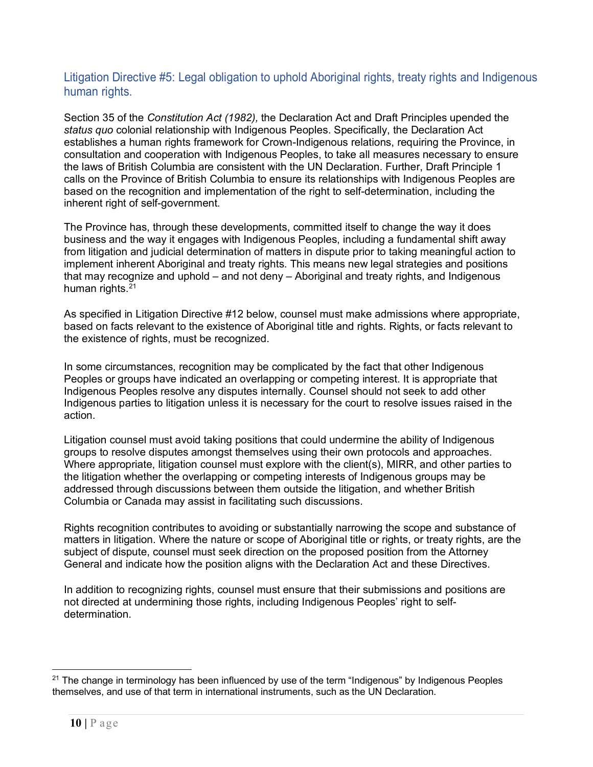#### Litigation Directive #5: Legal obligation to uphold Aboriginal rights, treaty rights and Indigenous human rights.

Section 35 of the *Constitution Act (1982),* the Declaration Act and Draft Principles upended the *status quo* colonial relationship with Indigenous Peoples. Specifically, the Declaration Act establishes a human rights framework for Crown-Indigenous relations, requiring the Province, in consultation and cooperation with Indigenous Peoples, to take all measures necessary to ensure the laws of British Columbia are consistent with the UN Declaration. Further, Draft Principle 1 calls on the Province of British Columbia to ensure its relationships with Indigenous Peoples are based on the recognition and implementation of the right to self-determination, including the inherent right of self-government.

The Province has, through these developments, committed itself to change the way it does business and the way it engages with Indigenous Peoples, including a fundamental shift away from litigation and judicial determination of matters in dispute prior to taking meaningful action to implement inherent Aboriginal and treaty rights. This means new legal strategies and positions that may recognize and uphold – and not deny – Aboriginal and treaty rights, and Indigenous human rights.<sup>[21](#page-9-0)</sup>

As specified in Litigation Directive #12 below, counsel must make admissions where appropriate, based on facts relevant to the existence of Aboriginal title and rights. Rights, or facts relevant to the existence of rights, must be recognized.

In some circumstances, recognition may be complicated by the fact that other Indigenous Peoples or groups have indicated an overlapping or competing interest. It is appropriate that Indigenous Peoples resolve any disputes internally. Counsel should not seek to add other Indigenous parties to litigation unless it is necessary for the court to resolve issues raised in the action.

Litigation counsel must avoid taking positions that could undermine the ability of Indigenous groups to resolve disputes amongst themselves using their own protocols and approaches. Where appropriate, litigation counsel must explore with the client(s), MIRR, and other parties to the litigation whether the overlapping or competing interests of Indigenous groups may be addressed through discussions between them outside the litigation, and whether British Columbia or Canada may assist in facilitating such discussions.

Rights recognition contributes to avoiding or substantially narrowing the scope and substance of matters in litigation. Where the nature or scope of Aboriginal title or rights, or treaty rights, are the subject of dispute, counsel must seek direction on the proposed position from the Attorney General and indicate how the position aligns with the Declaration Act and these Directives.

In addition to recognizing rights, counsel must ensure that their submissions and positions are not directed at undermining those rights, including Indigenous Peoples' right to selfdetermination.

<span id="page-9-0"></span><sup>&</sup>lt;sup>21</sup> The change in terminology has been influenced by use of the term "Indigenous" by Indigenous Peoples themselves, and use of that term in international instruments, such as the UN Declaration.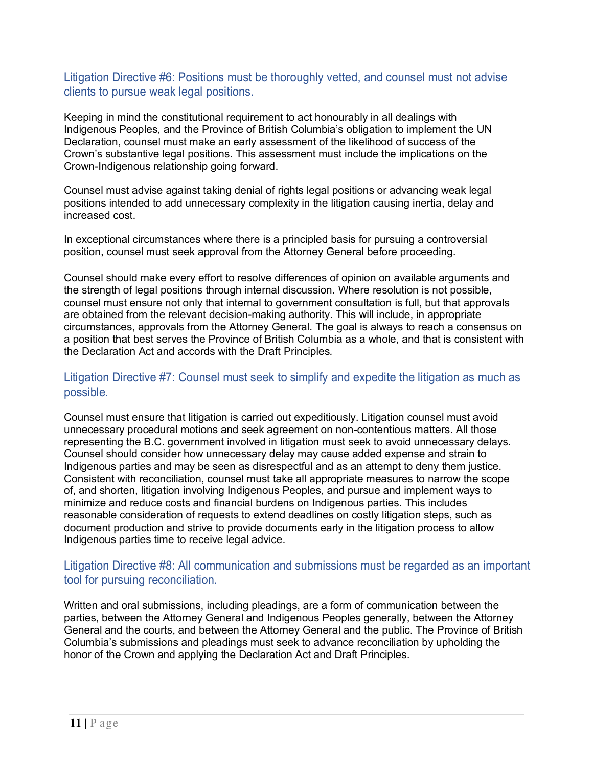#### Litigation Directive #6: Positions must be thoroughly vetted, and counsel must not advise clients to pursue weak legal positions.

Keeping in mind the constitutional requirement to act honourably in all dealings with Indigenous Peoples, and the Province of British Columbia's obligation to implement the UN Declaration, counsel must make an early assessment of the likelihood of success of the Crown's substantive legal positions. This assessment must include the implications on the Crown-Indigenous relationship going forward.

Counsel must advise against taking denial of rights legal positions or advancing weak legal positions intended to add unnecessary complexity in the litigation causing inertia, delay and increased cost.

In exceptional circumstances where there is a principled basis for pursuing a controversial position, counsel must seek approval from the Attorney General before proceeding.

Counsel should make every effort to resolve differences of opinion on available arguments and the strength of legal positions through internal discussion. Where resolution is not possible, counsel must ensure not only that internal to government consultation is full, but that approvals are obtained from the relevant decision-making authority. This will include, in appropriate circumstances, approvals from the Attorney General. The goal is always to reach a consensus on a position that best serves the Province of British Columbia as a whole, and that is consistent with the Declaration Act and accords with the Draft Principles*.*

#### Litigation Directive #7: Counsel must seek to simplify and expedite the litigation as much as possible.

Counsel must ensure that litigation is carried out expeditiously. Litigation counsel must avoid unnecessary procedural motions and seek agreement on non-contentious matters. All those representing the B.C. government involved in litigation must seek to avoid unnecessary delays. Counsel should consider how unnecessary delay may cause added expense and strain to Indigenous parties and may be seen as disrespectful and as an attempt to deny them justice. Consistent with reconciliation, counsel must take all appropriate measures to narrow the scope of, and shorten, litigation involving Indigenous Peoples, and pursue and implement ways to minimize and reduce costs and financial burdens on Indigenous parties. This includes reasonable consideration of requests to extend deadlines on costly litigation steps, such as document production and strive to provide documents early in the litigation process to allow Indigenous parties time to receive legal advice.

#### Litigation Directive #8: All communication and submissions must be regarded as an important tool for pursuing reconciliation.

Written and oral submissions, including pleadings, are a form of communication between the parties, between the Attorney General and Indigenous Peoples generally, between the Attorney General and the courts, and between the Attorney General and the public. The Province of British Columbia's submissions and pleadings must seek to advance reconciliation by upholding the honor of the Crown and applying the Declaration Act and Draft Principles.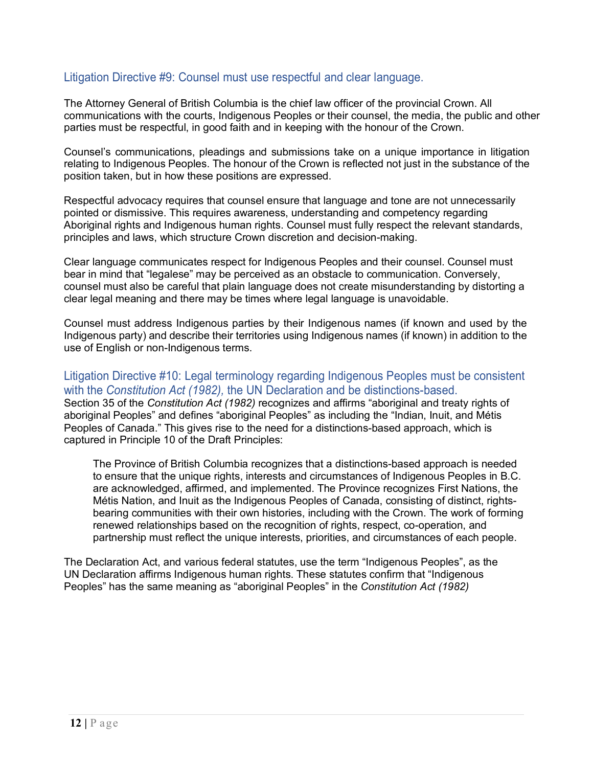#### Litigation Directive #9: Counsel must use respectful and clear language.

The Attorney General of British Columbia is the chief law officer of the provincial Crown. All communications with the courts, Indigenous Peoples or their counsel, the media, the public and other parties must be respectful, in good faith and in keeping with the honour of the Crown.

Counsel's communications, pleadings and submissions take on a unique importance in litigation relating to Indigenous Peoples. The honour of the Crown is reflected not just in the substance of the position taken, but in how these positions are expressed.

Respectful advocacy requires that counsel ensure that language and tone are not unnecessarily pointed or dismissive. This requires awareness, understanding and competency regarding Aboriginal rights and Indigenous human rights. Counsel must fully respect the relevant standards, principles and laws, which structure Crown discretion and decision-making.

Clear language communicates respect for Indigenous Peoples and their counsel. Counsel must bear in mind that "legalese" may be perceived as an obstacle to communication. Conversely, counsel must also be careful that plain language does not create misunderstanding by distorting a clear legal meaning and there may be times where legal language is unavoidable.

Counsel must address Indigenous parties by their Indigenous names (if known and used by the Indigenous party) and describe their territories using Indigenous names (if known) in addition to the use of English or non-Indigenous terms.

Litigation Directive #10: Legal terminology regarding Indigenous Peoples must be consistent with the *Constitution Act (1982),* the UN Declaration and be distinctions-based. Section 35 of the *Constitution Act (1982)* recognizes and affirms "aboriginal and treaty rights of aboriginal Peoples" and defines "aboriginal Peoples" as including the "Indian, Inuit, and Métis Peoples of Canada." This gives rise to the need for a distinctions-based approach, which is captured in Principle 10 of the Draft Principles:

The Province of British Columbia recognizes that a distinctions-based approach is needed to ensure that the unique rights, interests and circumstances of Indigenous Peoples in B.C. are acknowledged, affirmed, and implemented. The Province recognizes First Nations, the Métis Nation, and Inuit as the Indigenous Peoples of Canada, consisting of distinct, rightsbearing communities with their own histories, including with the Crown. The work of forming renewed relationships based on the recognition of rights, respect, co-operation, and partnership must reflect the unique interests, priorities, and circumstances of each people.

The Declaration Act, and various federal statutes, use the term "Indigenous Peoples", as the UN Declaration affirms Indigenous human rights. These statutes confirm that "Indigenous Peoples" has the same meaning as "aboriginal Peoples" in the *Constitution Act (1982)*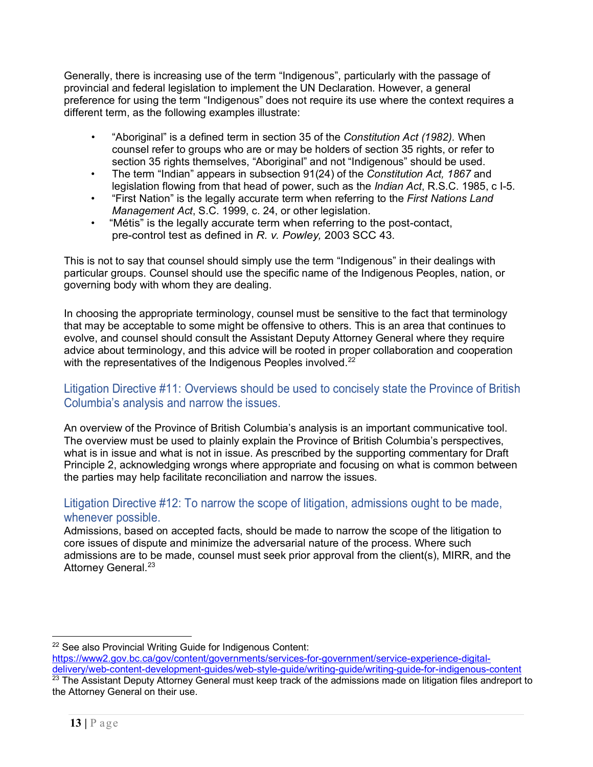Generally, there is increasing use of the term "Indigenous", particularly with the passage of provincial and federal legislation to implement the UN Declaration. However, a general preference for using the term "Indigenous" does not require its use where the context requires a different term, as the following examples illustrate:

- "Aboriginal" is a defined term in section 35 of the *Constitution Act (1982).* When counsel refer to groups who are or may be holders of section 35 rights, or refer to section 35 rights themselves, "Aboriginal" and not "Indigenous" should be used.
- The term "Indian" appears in subsection 91(24) of the *Constitution Act, 1867* and legislation flowing from that head of power, such as the *Indian Act*, R.S.C. 1985, c I-5.
- "First Nation" is the legally accurate term when referring to the *First Nations Land Management Act*, S.C. 1999, c. 24, or other legislation.
- "Métis" is the legally accurate term when referring to the post-contact, pre-control test as defined in *R. v. Powley,* 2003 SCC 43.

This is not to say that counsel should simply use the term "Indigenous" in their dealings with particular groups. Counsel should use the specific name of the Indigenous Peoples, nation, or governing body with whom they are dealing.

In choosing the appropriate terminology, counsel must be sensitive to the fact that terminology that may be acceptable to some might be offensive to others. This is an area that continues to evolve, and counsel should consult the Assistant Deputy Attorney General where they require advice about terminology, and this advice will be rooted in proper collaboration and cooperation with the representatives of the Indigenous Peoples involved.<sup>[22](#page-12-0)</sup>

#### Litigation Directive #11: Overviews should be used to concisely state the Province of British Columbia's analysis and narrow the issues.

An overview of the Province of British Columbia's analysis is an important communicative tool. The overview must be used to plainly explain the Province of British Columbia's perspectives, what is in issue and what is not in issue. As prescribed by the supporting commentary for Draft Principle 2, acknowledging wrongs where appropriate and focusing on what is common between the parties may help facilitate reconciliation and narrow the issues.

#### Litigation Directive #12: To narrow the scope of litigation, admissions ought to be made, whenever possible.

Admissions, based on accepted facts, should be made to narrow the scope of the litigation to core issues of dispute and minimize the adversarial nature of the process. Where such admissions are to be made, counsel must seek prior approval from the client(s), MIRR, and the Attorney General.<sup>[23](#page-12-1)</sup>

<span id="page-12-0"></span><sup>&</sup>lt;sup>22</sup> See also Provincial Writing Guide for Indigenous Content:

[https://www2.gov.bc.ca/gov/content/governments/services-for-government/service-experience-digital](https://www2.gov.bc.ca/gov/content/governments/services-for-government/service-experience-digital-delivery/web-content-development-guides/web-style-guide/writing-guide/writing-guide-for-indigenous-content)[delivery/web-content-development-guides/web-style-guide/writing-guide/writing-guide-for-indigenous-content](https://www2.gov.bc.ca/gov/content/governments/services-for-government/service-experience-digital-delivery/web-content-development-guides/web-style-guide/writing-guide/writing-guide-for-indigenous-content)

<span id="page-12-1"></span><sup>23</sup> The Assistant Deputy Attorney General must keep track of the admissions made on litigation files andreport to the Attorney General on their use.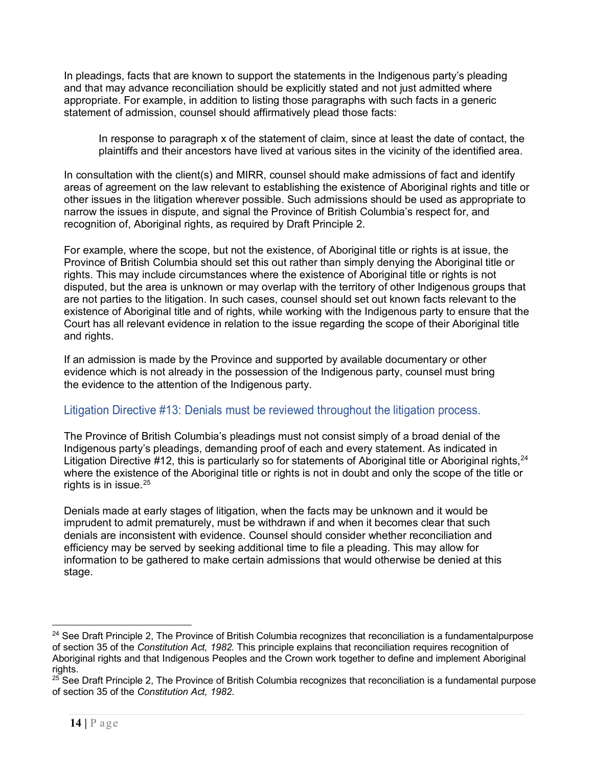In pleadings, facts that are known to support the statements in the Indigenous party's pleading and that may advance reconciliation should be explicitly stated and not just admitted where appropriate. For example, in addition to listing those paragraphs with such facts in a generic statement of admission, counsel should affirmatively plead those facts:

In response to paragraph x of the statement of claim, since at least the date of contact, the plaintiffs and their ancestors have lived at various sites in the vicinity of the identified area.

In consultation with the client(s) and MIRR, counsel should make admissions of fact and identify areas of agreement on the law relevant to establishing the existence of Aboriginal rights and title or other issues in the litigation wherever possible. Such admissions should be used as appropriate to narrow the issues in dispute, and signal the Province of British Columbia's respect for, and recognition of, Aboriginal rights, as required by Draft Principle 2.

For example, where the scope, but not the existence, of Aboriginal title or rights is at issue, the Province of British Columbia should set this out rather than simply denying the Aboriginal title or rights. This may include circumstances where the existence of Aboriginal title or rights is not disputed, but the area is unknown or may overlap with the territory of other Indigenous groups that are not parties to the litigation. In such cases, counsel should set out known facts relevant to the existence of Aboriginal title and of rights, while working with the Indigenous party to ensure that the Court has all relevant evidence in relation to the issue regarding the scope of their Aboriginal title and rights.

If an admission is made by the Province and supported by available documentary or other evidence which is not already in the possession of the Indigenous party, counsel must bring the evidence to the attention of the Indigenous party.

#### Litigation Directive #13: Denials must be reviewed throughout the litigation process.

<span id="page-13-0"></span>The Province of British Columbia's pleadings must not consist simply of a broad denial of the Indigenous party's pleadings, demanding proof of each and every statement. As indicated in Litigation Directive #12, this is particularly so for statements of Aboriginal title or Aboriginal rights, <sup>[24](#page-13-1)</sup> where the existence of the Aboriginal title or rights is not in doubt and only the scope of the title or rights is in issue.<sup>[25](#page-13-2)</sup>

Denials made at early stages of litigation, when the facts may be unknown and it would be imprudent to admit prematurely, must be withdrawn if and when it becomes clear that such denials are inconsistent with evidence. Counsel should consider whether reconciliation and efficiency may be served by seeking additional time to file a pleading. This may allow for information to be gathered to make certain admissions that would otherwise be denied at this stage.

<span id="page-13-1"></span> $24$  See Draft Principle 2, The Province of British Columbia recognizes that reconciliation is a fundamentalpurpose of section 35 of the *Constitution Act, 1982.* This principle explains that reconciliation requires recognition of Aboriginal rights and that Indigenous Peoples and the Crown work together to define and implement Aboriginal rights.

<span id="page-13-2"></span> $25$  See Draft Principle 2, The Province of British Columbia recognizes that reconciliation is a fundamental purpose of section 35 of the *Constitution Act, 1982*.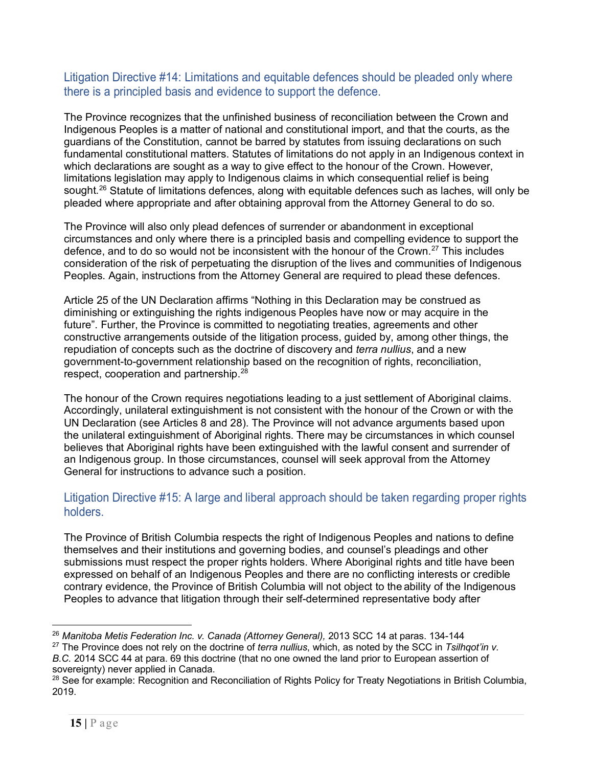#### Litigation Directive #14: Limitations and equitable defences should be pleaded only where there is a principled basis and evidence to support the defence.

The Province recognizes that the unfinished business of reconciliation between the Crown and Indigenous Peoples is a matter of national and constitutional import, and that the courts, as the guardians of the Constitution, cannot be barred by statutes from issuing declarations on such fundamental constitutional matters. Statutes of limitations do not apply in an Indigenous context in which declarations are sought as a way to give effect to the honour of the Crown. However, limitations legislation may apply to Indigenous claims in which consequential relief is being sought.<sup>26</sup> Statute of limitations defences, along with equitable defences such as laches, will only be pleaded where appropriate and after obtaining approval from the Attorney General to do so.

The Province will also only plead defences of surrender or abandonment in exceptional circumstances and only where there is a principled basis and compelling evidence to support the defence, and to do so would not be inconsistent with the honour of the Crown.<sup>[27](#page-14-1)</sup> This includes consideration of the risk of perpetuating the disruption of the lives and communities of Indigenous Peoples. Again, instructions from the Attorney General are required to plead these defences.

Article 25 of the UN Declaration affirms "Nothing in this Declaration may be construed as diminishing or extinguishing the rights indigenous Peoples have now or may acquire in the future". Further, the Province is committed to negotiating treaties, agreements and other constructive arrangements outside of the litigation process, guided by, among other things, the repudiation of concepts such as the doctrine of discovery and *terra nullius*, and a new government-to-government relationship based on the recognition of rights, reconciliation, respect, cooperation and partnership.<sup>[28](#page-14-2)</sup>

The honour of the Crown requires negotiations leading to a just settlement of Aboriginal claims. Accordingly, unilateral extinguishment is not consistent with the honour of the Crown or with the UN Declaration (see Articles 8 and 28). The Province will not advance arguments based upon the unilateral extinguishment of Aboriginal rights. There may be circumstances in which counsel believes that Aboriginal rights have been extinguished with the lawful consent and surrender of an Indigenous group. In those circumstances, counsel will seek approval from the Attorney General for instructions to advance such a position.

#### Litigation Directive #15: A large and liberal approach should be taken regarding proper rights holders.

The Province of British Columbia respects the right of Indigenous Peoples and nations to define themselves and their institutions and governing bodies, and counsel's pleadings and other submissions must respect the proper rights holders. Where Aboriginal rights and title have been expressed on behalf of an Indigenous Peoples and there are no conflicting interests or credible contrary evidence, the Province of British Columbia will not object to the ability of the Indigenous Peoples to advance that litigation through their self-determined representative body after

<span id="page-14-0"></span><sup>26</sup> *Manitoba Metis Federation Inc. v. Canada (Attorney General),* 2013 SCC 14 at paras. 134-144

<span id="page-14-1"></span><sup>27</sup> The Province does not rely on the doctrine of *terra nullius*, which, as noted by the SCC in *Tsilhqot'in v. B.C.* 2014 SCC 44 at para. 69 this doctrine (that no one owned the land prior to European assertion of

sovereignty) never applied in Canada.

<span id="page-14-2"></span><sup>&</sup>lt;sup>28</sup> See for example: Recognition and Reconciliation of Rights Policy for Treaty Negotiations in British Columbia, 2019.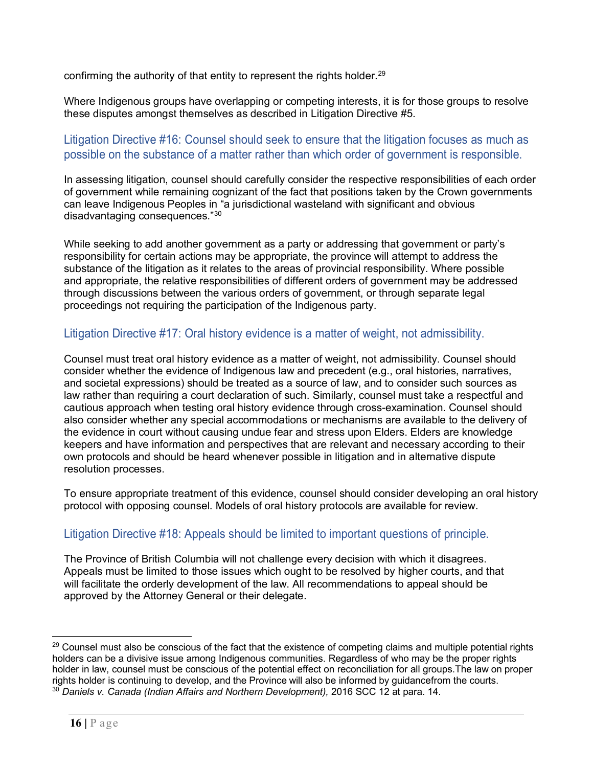confirming the authority of that entity to represent the rights holder. $^{29}$  $^{29}$  $^{29}$ 

Where Indigenous groups have overlapping or competing interests, it is for those groups to resolve these disputes amongst themselves as described in Litigation Directive #5.

#### Litigation Directive #16: Counsel should seek to ensure that the litigation focuses as much as possible on the substance of a matter rather than which order of government is responsible.

In assessing litigation, counsel should carefully consider the respective responsibilities of each order of government while remaining cognizant of the fact that positions taken by the Crown governments can leave Indigenous Peoples in "a jurisdictional wasteland with significant and obvious disadvantaging consequences."[30](#page-15-1)

While seeking to add another government as a party or addressing that government or party's responsibility for certain actions may be appropriate, the province will attempt to address the substance of the litigation as it relates to the areas of provincial responsibility. Where possible and appropriate, the relative responsibilities of different orders of government may be addressed through discussions between the various orders of government, or through separate legal proceedings not requiring the participation of the Indigenous party.

#### Litigation Directive #17: Oral history evidence is a matter of weight, not admissibility.

Counsel must treat oral history evidence as a matter of weight, not admissibility. Counsel should consider whether the evidence of Indigenous law and precedent (e.g., oral histories, narratives, and societal expressions) should be treated as a source of law, and to consider such sources as law rather than requiring a court declaration of such. Similarly, counsel must take a respectful and cautious approach when testing oral history evidence through cross-examination. Counsel should also consider whether any special accommodations or mechanisms are available to the delivery of the evidence in court without causing undue fear and stress upon Elders. Elders are knowledge keepers and have information and perspectives that are relevant and necessary according to their own protocols and should be heard whenever possible in litigation and in alternative dispute resolution processes.

To ensure appropriate treatment of this evidence, counsel should consider developing an oral history protocol with opposing counsel. Models of oral history protocols are available for review.

#### Litigation Directive #18: Appeals should be limited to important questions of principle.

The Province of British Columbia will not challenge every decision with which it disagrees. Appeals must be limited to those issues which ought to be resolved by higher courts, and that will facilitate the orderly development of the law. All recommendations to appeal should be approved by the Attorney General or their delegate.

<span id="page-15-1"></span><span id="page-15-0"></span><sup>&</sup>lt;sup>29</sup> Counsel must also be conscious of the fact that the existence of competing claims and multiple potential rights holders can be a divisive issue among Indigenous communities. Regardless of who may be the proper rights holder in law, counsel must be conscious of the potential effect on reconciliation for all groups.The law on proper rights holder is continuing to develop, and the Province will also be informed by guidancefrom the courts. <sup>30</sup> *Daniels v. Canada (Indian Affairs and Northern Development),* 2016 SCC 12 at para. 14.